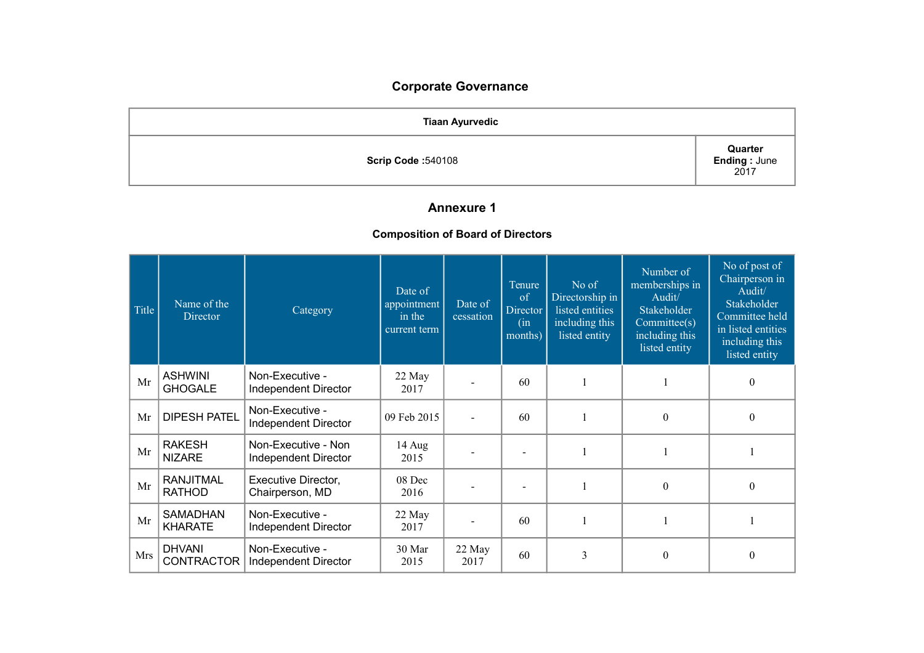# **Corporate Governance**

| <b>Tiaan Ayurvedic</b>    |                                  |  |
|---------------------------|----------------------------------|--|
| <b>Scrip Code: 540108</b> | Quarter<br>Ending : June<br>2017 |  |

## **Annexure 1**

## **Composition of Board of Directors**

| Title | Name of the<br>Director           | Category                                    | Date of<br>appointment<br>in the<br>current term | Date of<br>cessation | Tenure<br>of<br>Director<br>(in<br>months) | No of<br>Directorship in<br>listed entities<br>including this<br>listed entity | Number of<br>memberships in<br>Audit/<br>Stakeholder<br>Commitee(s)<br>including this<br>listed entity | No of post of<br>Chairperson in<br>Audit/<br>Stakeholder<br>Committee held<br>in listed entities<br>including this<br>listed entity |
|-------|-----------------------------------|---------------------------------------------|--------------------------------------------------|----------------------|--------------------------------------------|--------------------------------------------------------------------------------|--------------------------------------------------------------------------------------------------------|-------------------------------------------------------------------------------------------------------------------------------------|
| Mr    | <b>ASHWINI</b><br><b>GHOGALE</b>  | Non-Executive -<br>Independent Director     | 22 May<br>2017                                   |                      | 60                                         |                                                                                |                                                                                                        | $\theta$                                                                                                                            |
| Mr    | <b>DIPESH PATEL</b>               | Non-Executive -<br>Independent Director     | 09 Feb 2015                                      |                      | 60                                         |                                                                                | $\boldsymbol{0}$                                                                                       | $\theta$                                                                                                                            |
| Mr    | <b>RAKESH</b><br><b>NIZARE</b>    | Non-Executive - Non<br>Independent Director | 14 Aug<br>2015                                   |                      |                                            |                                                                                |                                                                                                        |                                                                                                                                     |
| Mr    | <b>RANJITMAL</b><br><b>RATHOD</b> | Executive Director,<br>Chairperson, MD      | 08 Dec<br>2016                                   |                      |                                            |                                                                                | $\boldsymbol{0}$                                                                                       | $\theta$                                                                                                                            |
| Mr    | <b>SAMADHAN</b><br><b>KHARATE</b> | Non-Executive -<br>Independent Director     | $22$ May<br>2017                                 |                      | 60                                         |                                                                                |                                                                                                        |                                                                                                                                     |
| Mrs   | <b>DHVANI</b><br>CONTRACTOR       | Non-Executive -<br>Independent Director     | 30 Mar<br>2015                                   | 22 May<br>2017       | 60                                         | 3                                                                              | $\mathbf{0}$                                                                                           | $\mathbf{0}$                                                                                                                        |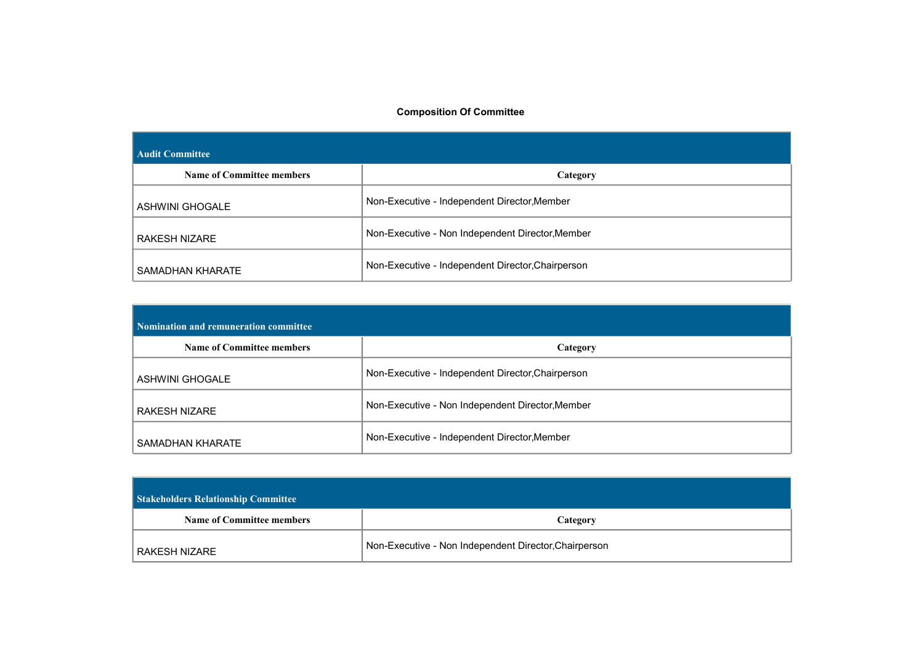#### **Composition Of Committee**

| <b>Audit Committee</b>           |                                                   |  |  |
|----------------------------------|---------------------------------------------------|--|--|
| <b>Name of Committee members</b> | Category                                          |  |  |
| ASHWINI GHOGALE                  | Non-Executive - Independent Director, Member      |  |  |
| RAKESH NIZARE                    | Non-Executive - Non Independent Director, Member  |  |  |
| SAMADHAN KHARATE                 | Non-Executive - Independent Director, Chairperson |  |  |

| Nomination and remuneration committee |                                                   |  |  |
|---------------------------------------|---------------------------------------------------|--|--|
| <b>Name of Committee members</b>      | Category                                          |  |  |
| <b>ASHWINI GHOGALE</b>                | Non-Executive - Independent Director, Chairperson |  |  |
| RAKESH NIZARE                         | Non-Executive - Non Independent Director, Member  |  |  |
| SAMADHAN KHARATE                      | Non-Executive - Independent Director, Member      |  |  |

| <b>Stakeholders Relationship Committee</b> |                                                       |  |  |  |
|--------------------------------------------|-------------------------------------------------------|--|--|--|
| <b>Name of Committee members</b>           | Category                                              |  |  |  |
| RAKESH NIZARE                              | Non-Executive - Non Independent Director, Chairperson |  |  |  |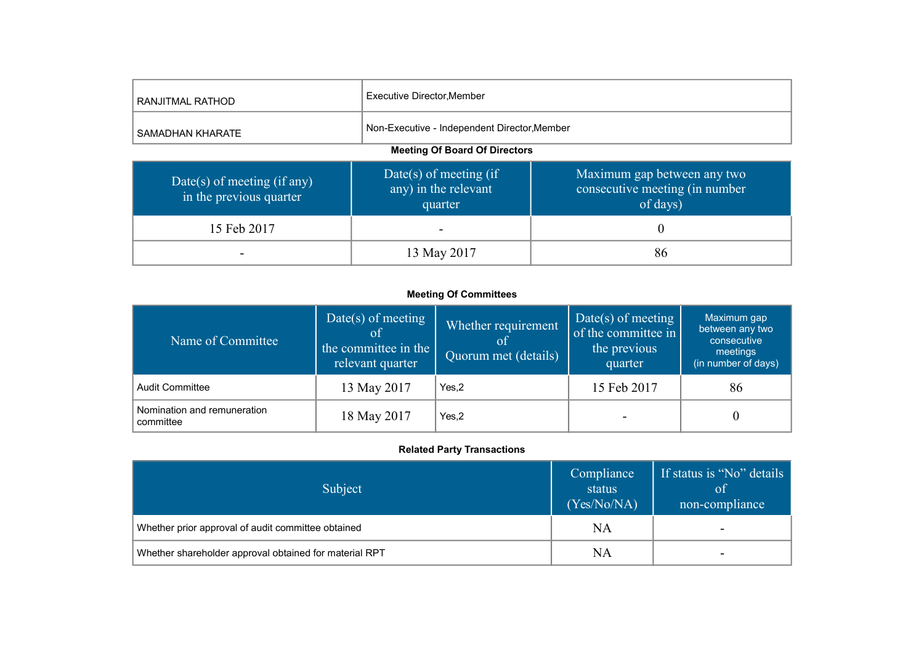| RANJITMAL RATHOD                                       | Executive Director, Member                                |                                                                           |  |  |
|--------------------------------------------------------|-----------------------------------------------------------|---------------------------------------------------------------------------|--|--|
| SAMADHAN KHARATE                                       | Non-Executive - Independent Director, Member              |                                                                           |  |  |
| <b>Meeting Of Board Of Directors</b>                   |                                                           |                                                                           |  |  |
| Date(s) of meeting (if any)<br>in the previous quarter | Date(s) of meeting (if<br>any) in the relevant<br>quarter | Maximum gap between any two<br>consecutive meeting (in number<br>of days) |  |  |
| 15 Feb 2017                                            |                                                           | 0                                                                         |  |  |
|                                                        | 13 May 2017                                               | 86                                                                        |  |  |

#### **Meeting Of Committees**

| Name of Committee                        | Date(s) of meeting<br>of<br>the committee in the<br>relevant quarter | Whether requirement<br>Quorum met (details) | Date(s) of meeting<br>of the committee in<br>the previous<br>quarter | Maximum gap<br>between any two<br>consecutive<br>meetings<br>(in number of days) |
|------------------------------------------|----------------------------------------------------------------------|---------------------------------------------|----------------------------------------------------------------------|----------------------------------------------------------------------------------|
| <b>Audit Committee</b>                   | 13 May 2017                                                          | Yes.2                                       | 15 Feb 2017                                                          | 86                                                                               |
| Nomination and remuneration<br>committee | 18 May 2017                                                          | Yes, 2                                      |                                                                      | $\theta$                                                                         |

## **Related Party Transactions**

| Subject                                                | Compliance<br>status<br>(Yes/No/NA) | If status is "No" details<br><b>of</b><br>non-compliance |
|--------------------------------------------------------|-------------------------------------|----------------------------------------------------------|
| Whether prior approval of audit committee obtained     | <b>NA</b>                           | -                                                        |
| Whether shareholder approval obtained for material RPT | NA                                  | -                                                        |